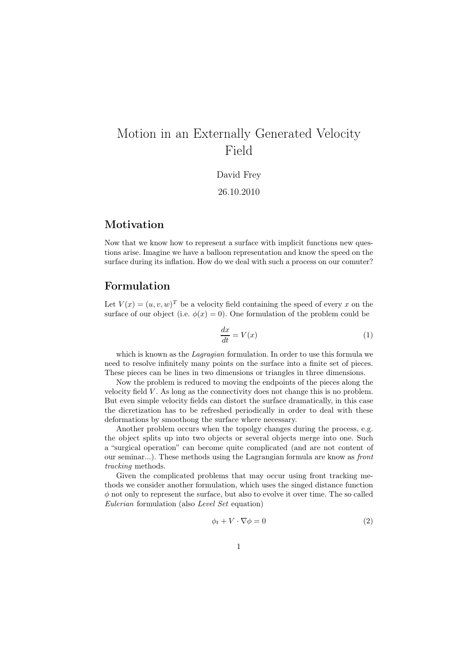# Motion in an Externally Generated Velocity Field

David Frey

26.10.2010

## Motivation

Now that we know how to represent a surface with implicit functions new questions arise. Imagine we have a balloon representation and know the speed on the surface during its inflation. How do we deal with such a process on our comuter?

### Formulation

Let  $V(x) = (u, v, w)^T$  be a velocity field containing the speed of every x on the surface of our object (i.e.  $\phi(x) = 0$ ). One formulation of the problem could be

$$
\frac{dx}{dt} = V(x) \tag{1}
$$

which is known as the *Lagragian* formulation. In order to use this formula we need to resolve infinitely many points on the surface into a finite set of pieces. These pieces can be lines in two dimensions or triangles in three dimensions.

Now the problem is reduced to moving the endpoints of the pieces along the velocity field V . As long as the connectivity does not change this is no problem. But even simple velocity fields can distort the surface dramatically, in this case the dicretization has to be refreshed periodically in order to deal with these deformations by smoothong the surface where necessary.

Another problem occurs when the topolgy changes during the process, e.g. the object splits up into two objects or several objects merge into one. Such a "surgical operation" can become quite complicated (and are not content of our seminar...). These methods using the Lagrangian formula are know as front tracking methods.

Given the complicated problems that may occur using front tracking methods we consider another formulation, which uses the singed distance function  $\phi$  not only to represent the surface, but also to evolve it over time. The so called Eulerian formulation (also Level Set equation)

$$
\phi_t + V \cdot \nabla \phi = 0 \tag{2}
$$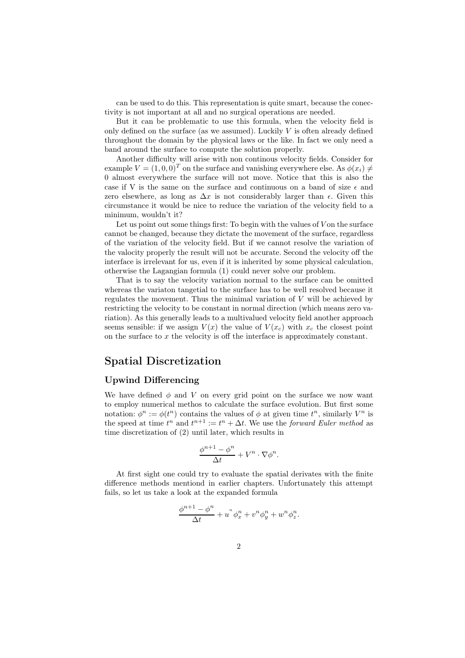can be used to do this. This representation is quite smart, because the conectivity is not important at all and no surgical operations are needed.

But it can be problematic to use this formula, when the velocity field is only defined on the surface (as we assumed). Luckily  $V$  is often already defined throughout the domain by the physical laws or the like. In fact we only need a band around the surface to compute the solution properly.

Another difficulty will arise with non continous velocity fields. Consider for example  $V = (1, 0, 0)^T$  on the surface and vanishing everywhere else. As  $\phi(x_i) \neq$ 0 almost everywhere the surface will not move. Notice that this is also the case if V is the same on the surface and continuous on a band of size  $\epsilon$  and zero elsewhere, as long as  $\Delta x$  is not considerably larger than  $\epsilon$ . Given this circumstance it would be nice to reduce the variation of the velocity field to a minimum, wouldn't it?

Let us point out some things first: To begin with the values of  $V$  on the surface cannot be changed, because they dictate the movement of the surface, regardless of the variation of the velocity field. But if we cannot resolve the variation of the valocity properly the result will not be accurate. Second the velocity off the interface is irrelevant for us, even if it is inherited by some physical calculation, otherwise the Lagangian formula (1) could never solve our problem.

That is to say the velocity variation normal to the surface can be omitted whereas the variaton tangetial to the surface has to be well resolved because it regulates the movement. Thus the minimal variation of  $V$  will be achieved by restricting the velocity to be constant in normal direction (which means zero variation). As this generally leads to a multivalued velocity field another approach seems sensible: if we assign  $V(x)$  the value of  $V(x_c)$  with  $x_c$  the closest point on the surface to x the velocity is off the interface is approximately constant.

### Spatial Discretization

#### Upwind Differencing

We have defined  $\phi$  and V on every grid point on the surface we now want to employ numerical methos to calculate the surface evolution. But first some notation:  $\phi^n := \phi(t^n)$  contains the values of  $\phi$  at given time  $t^n$ , similarly  $V^n$  is the speed at time  $t^n$  and  $t^{n+1} := t^n + \Delta t$ . We use the *forward Euler method* as time discretization of (2) until later, which results in

$$
\frac{\phi^{n+1}-\phi^n}{\Delta t}+V^n\cdot\nabla\phi^n.
$$

At first sight one could try to evaluate the spatial derivates with the finite difference methods mentiond in earlier chapters. Unfortunately this attempt fails, so let us take a look at the expanded formula

$$
\frac{\phi^{n+1} - \phi^n}{\Delta t} + u^n \phi^n_x + v^n \phi^n_y + w^n \phi^n_z.
$$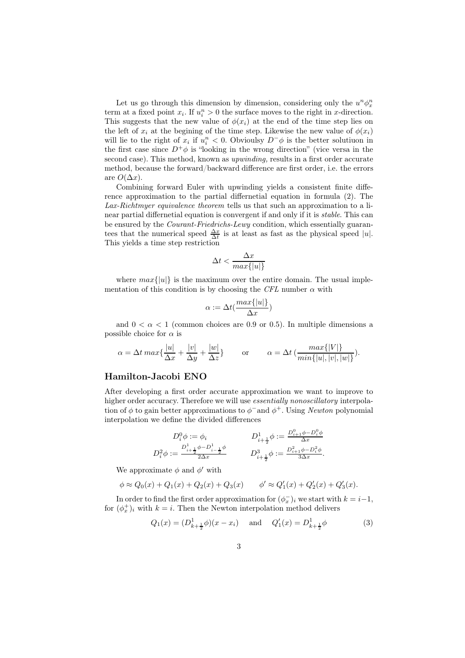Let us go through this dimension by dimension, considering only the  $u^n \phi_x^n$ term at a fixed point  $x_i$ . If  $u_i^n > 0$  the surface moves to the right in x-direction. This suggests that the new value of  $\phi(x_i)$  at the end of the time step lies on the left of  $x_i$  at the begining of the time step. Likewise the new value of  $\phi(x_i)$ will lie to the right of  $x_i$  if  $u_i^n < 0$ . Obvioulsy  $D^-\phi$  is the better solutiuon in the first case since  $D^+\phi$  is "looking in the wrong direction" (vice versa in the second case). This method, known as upwinding, results in a first order accurate method, because the forward/backward difference are first order, i.e. the errors are  $O(\Delta x)$ .

Combining forward Euler with upwinding yields a consistent finite difference approximation to the partial differnetial equation in formula (2). The Lax-Richtmyer equivalence theorem tells us that such an approximation to a linear partial differnetial equation is convergent if and only if it is stable. This can be ensured by the Courant-Friedrichs-Lewy condition, which essentially guarantees that the numerical speed  $\frac{\Delta x}{\Delta t}$  is at least as fast as the physical speed |u|. This yields a time step restriction

$$
\Delta t < \frac{\Delta x}{\max\{|u|\}}
$$

where  $max\{|u|\}$  is the maximum over the entire domain. The usual implementation of this condition is by choosing the CFL number  $\alpha$  with

$$
\alpha := \Delta t(\frac{\max\{|u|\}}{\Delta x})
$$

and  $0 < \alpha < 1$  (common choices are 0.9 or 0.5). In multiple dimensions a possible choice for  $\alpha$  is

$$
\alpha = \Delta t \max \{ \frac{|u|}{\Delta x} + \frac{|v|}{\Delta y} + \frac{|w|}{\Delta z} \} \qquad \text{or} \qquad \alpha = \Delta t \left( \frac{\max\{|V|\}}{\min\{|u|, |v|, |w|\}} \right).
$$

#### Hamilton-Jacobi ENO

After developing a first order accurate approximation we want to improve to higher order accuracy. Therefore we will use essentially nonoscillatory interpolation of  $\phi$  to gain better approximations to  $\phi^-$  and  $\phi^+$ . Using Newton polynomial interpolation we define the divided differences

$$
D_i^0 \phi := \phi_i \qquad D_{i + \frac{1}{2}}^1 \phi := \frac{D_{i + 1}^0 \phi - D_i^0 \phi}{\Delta x}
$$
  

$$
D_i^2 \phi := \frac{D_{i + \frac{1}{2}}^1 \phi - D_{i - \frac{1}{2}}^1 \phi}{2\Delta x} \qquad D_{i + \frac{1}{2}}^3 \phi := \frac{D_{i + 1}^2 \phi - D_i^2 \phi}{3\Delta x}.
$$

We approximate  $\phi$  and  $\phi'$  with

$$
\phi \approx Q_0(x) + Q_1(x) + Q_2(x) + Q_3(x) \qquad \phi' \approx Q_1'(x) + Q_2'(x) + Q_3'(x).
$$

In order to find the first order approximation for  $(\phi_x^-)_i$  we start with  $k = i-1$ , for  $(\phi_x^+)_i$  with  $k = i$ . Then the Newton interpolation method delivers

$$
Q_1(x) = (D_{k+\frac{1}{2}}^1 \phi)(x - x_i) \quad \text{and} \quad Q_1'(x) = D_{k+\frac{1}{2}}^1 \phi \tag{3}
$$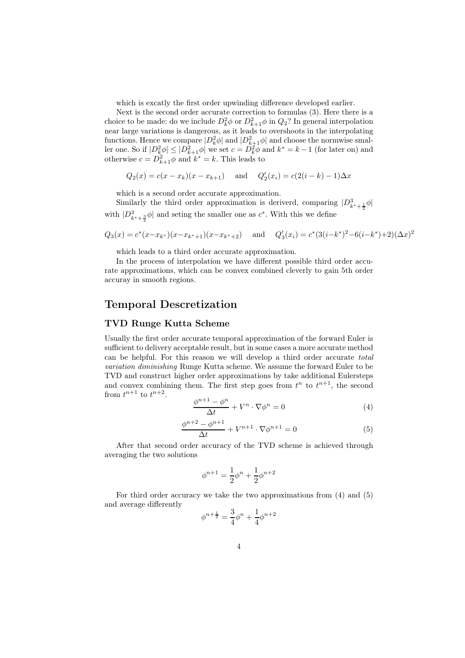which is excatly the first order upwinding difference developed earlier.

Next is the second order accurate correction to formulas (3). Here there is a choice to be made: do we include  $D_k^2 \phi$  or  $D_{k+1}^2 \phi$  in  $Q_2$ ? In general interpolation near large variations is dangerous, as it leads to overshoots in the interpolating functions. Hence we compare  $|D_k^2 \phi|$  and  $|D_{k+1}^2 \phi|$  and choose the normwise smaller one. So if  $|D_k^2 \phi| \leq |D_{k+1}^2 \phi|$  we set  $c = D_k^2 \phi$  and  $k^* = k - 1$  (for later on) and otherwise  $c = \overline{D_{k+1}^2 \phi}$  and  $\overline{k^*} = k$ . This leads to

$$
Q_2(x) = c(x - x_k)(x - x_{k+1})
$$
 and  $Q'_2(x_i) = c(2(i - k) - 1)\Delta x$ 

which is a second order accurate approximation.

Similarly the third order approximation is deriverd, comparing  $|D_{k^*+\frac{1}{2}}^3\phi|$ with  $|D_{k^*+\frac{3}{2}}^3\phi|$  and seting the smaller one as  $c^*$ . With this we define

$$
Q_3(x) = c^*(x - x_{k^*})(x - x_{k^*+1})(x - x_{k^*+2})
$$
 and  $Q'_3(x_i) = c^*(3(i - k^*)^2 - 6(i - k^*) + 2)(\Delta x)^2$ 

which leads to a third order accurate approximation.

In the process of interpolation we have different possible third order accurate approximations, which can be convex combined cleverly to gain 5th order accuray in smooth regions.

### Temporal Descretization

#### TVD Runge Kutta Scheme

Usually the first order accurate temporal approximation of the forward Euler is sufficient to delivery acceptable result, but in some cases a more accurate method can be helpful. For this reason we will develop a third order accurate total variation diminishing Runge Kutta scheme. We assume the forward Euler to be TVD and construct higher order approximations by take additional Eulersteps and convex combining them. The first step goes from  $t^n$  to  $t^{n+1}$ , the second from  $t^{n+1}$  to  $t^{n+2}$ .

$$
\frac{\phi^{n+1} - \phi^n}{\Delta t} + V^n \cdot \nabla \phi^n = 0 \tag{4}
$$

$$
\frac{\phi^{n+2} - \phi^{n+1}}{\Delta t} + V^{n+1} \cdot \nabla \phi^{n+1} = 0
$$
\n(5)

After that second order accuracy of the TVD scheme is achieved through averaging the two solutions

$$
\phi^{n+1} = \frac{1}{2}\phi^n + \frac{1}{2}\phi^{n+2}
$$

For third order accuracy we take the two approximations from (4) and (5) and average differently

$$
\phi^{n+\frac{1}{2}} = \frac{3}{4}\phi^n + \frac{1}{4}\phi^{n+2}
$$